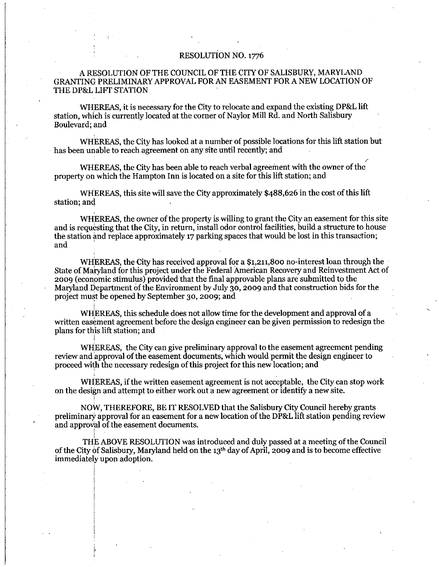#### RESOLUTION NO. 1776

### A RESOLUTION OF THE COUNCIL OF THE CITY OF SALISBURY, MARYLAND GRANTING PRELIMINARY APPROVAL FOR AN EASEMENT FOR ANEW LOCATION OF A RESOLUTION OF A RESOLUTION OF THE DPAL LIFT STATION A RESOLUTION OF THE COUNCIL OF THE CITY OF SALISBURT, MARTLAND<br>TING PRELIMINARY APPROVAL FOR AN EASEMENT FOR A NEW LOCATION O<br>P&L LIFT STATION<br>WHEREAS, it is necessary for the City to relocate and expand the existing DP&L

WHEREAS, it is necessary for the City to relocate and expand the existing DP&L lift station, which is currently located at the corner of Naylor Mill Rd, and North Salisbury Boulevard: and

WHEREAS, the City has looked at a number of possible locations for this lift station but has been unable to reach agreement on any site until recently; and

WHEREAS, the City has been able to reach verbal agreement with the owner of the property on which the Hampton Inn is located on a site for this lift station; and

WHEREAS, this site will save the City approximately \$488,626 in the cost of this lift station; and

WHEREAS, the owner of the property is willing to grant the City an easement for this site and is requesting that the City, in return, install odor control facilities, build a structure to house WHEREAS, the owner of the property is willing to grant the City an easement for this<br>and is requesting that the City, in return, install odor control facilities, build a structure to hou<br>the station and replace approximate and

where the City has looked at a number of possible locations for this lift station but<br>n unable to reach agreement on any site until recently; and<br>WHEREAS, the City has been able to reach verbal agreement with the owner of State of Maryland for this project under the Federal American Recovery and Reinvestment Act of 2009 (economic stimulus) provided that the final approvable plans are submitted to the Maryland Department of the Environment by July 30, 2009 and that construction bids for the project must be opened by September 30, 2009; and

WHEREAS, this schedule does not allow time for the development and approval of a written easement agreement before the design engineer can be given permission to redesign the plans for this lift station; and

WHEREAS, the City can give preliminary approval to the easement agreement pending review and approval of the easement documents, which would permit the design engineer to proceed with the necessary redesign of this project for this new location; and

WHEREAS, if the written easement agreement is not acceptable, the City can stop work on the design and attempt to either work out <sup>a</sup> new agreement oridentify a new site

NOW, THEREFORE, BE IT RESOLVED that the Salisbury City Council hereby grants preliminary approval for an easement for a new location of the DP&L lift station pending review and approval of the easement documents.

THE ABOVE RESOLUTION was introduced and duly passed at a meeting of the Council of the City of Salisbury, Maryland held on the 13<sup>th</sup> day of April, 2009 and is to become effective immediately upon adoption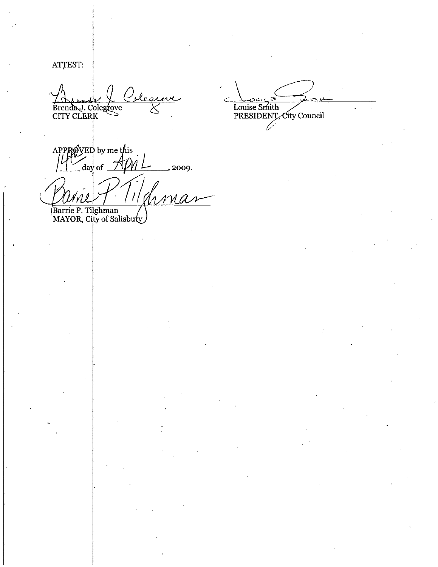ATTEST:

Colegia Brenda J. Colegrove

Louise Smith<br>
PRESIDENT, City Council

APPROVED by me this  $\int d\mathbf{a} \times \mathbf{b}$  of  $\mathcal{A}$ M l , 2009.

p<br>n NM A N Barrie P. Tilghman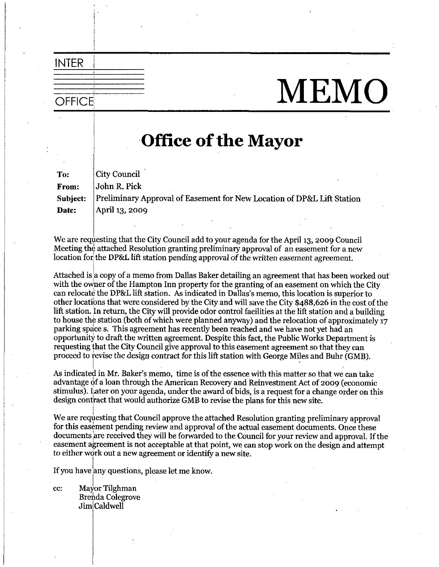# OFFICE MEMO

## Office of the Mayor

To From Subject Date: City Council John R. Pick Preliminary Approval of Easement for New Location of DP&L Lift Station April 13, 2009

We are requesting that the City Council add to your agenda for the April 13, 2009 Council Meeting the attached Resolution granting preliminary approval of an easement for a new location for the DP&L lift station pending approval of the written easement agreement. We are requesting that the City Council add to your agenda for the April 13, 2009 Cour<br>Meeting the attached Resolution granting preliminary approval of an easement for a n<br>location for the DP&L lift station pending approva

Attached is a copy of a memo from Dallas Baker detailing an agreement that has been worked out with the owner of the Hampton Inn property for the granting of an easement on which the City location for the DP&L lift station pending approval of the vertical station of the DP&L lift station. Ballas Baker detailing with the owner of the Hampton Inn property for the grantican relocate the DP&L lift station. As i memo, this location is superior to can relocate the DP&L lift station. As indicated in Dallas's memo, this location is superior to other locations that were considered by the City and will save the City \$488,626 in the cost of the lift station. In return, t lift station. In return, the City will provide odor control facilities at the lift station and a building to house the station (both of which were planned anyway) and the relocation of approximately 17 parking space s. This agreement has recently been reached and we have not yet had an opportunity to draft the written agreement. Despite this fact, the Public Works Department is requesting that the City Council give approval to this easement agreement so that they can proceed to revise the design contract for this lift station with George Miles and Buhr (GMB).

As indicated in Mr. Baker's memo, time is of the essence with this matter so that we can take advantage of a loan through the American Recovery and Reinvestment Act of 2009 (economic stimulus). Later on your agenda, under the award of bids, is a request for a change order on this design contract that would authorize GMB to revise the plans for this new site

We are requesting that Council approve the attached Resolution granting preliminary approval<br>for this easement pending review and approval of the actual easement documents. Once these<br>documents are received they will be fo for this easement pending review and approval of the actual easement documents. Once these<br>documents are received they will be forwarded to the Council for your review and approval. If the easement agreement is not acceptable at that point, we can stop work on the design and attempt to either work out a new agreement or identify a new site.

If you have any questions, please let me know.

cc: Mayor Tilghman **Brenda** Colegrove Jim Caldwell

INTER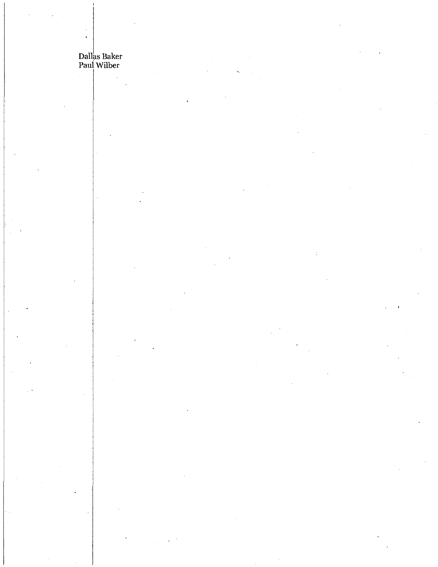# Dallas Baker<br>Paul Wilber

 $\ddot{\phantom{0}}$ 

 $\ddot{\cdot}$